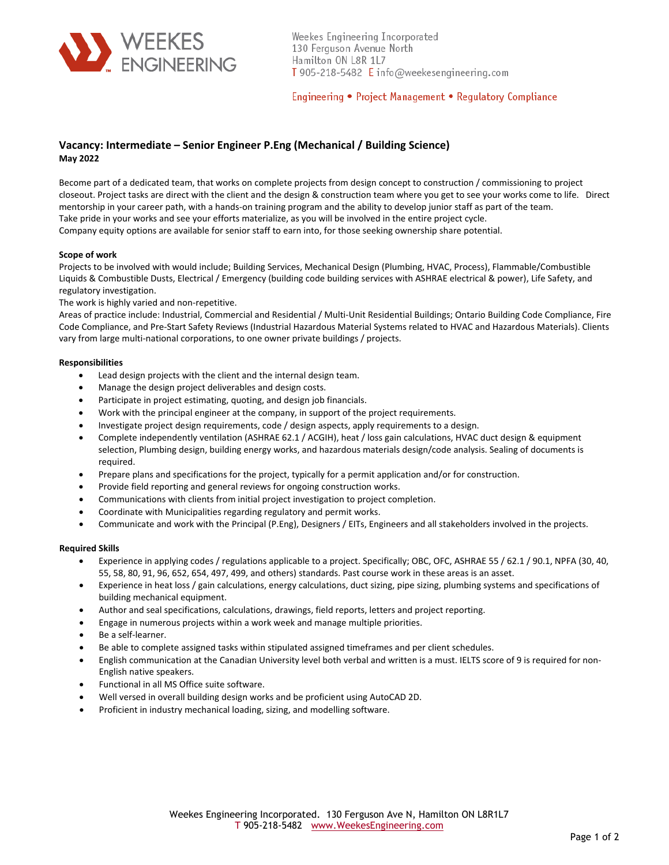

Weekes Engineering Incorporated 130 Ferguson Avenue North Hamilton ON L8R 1L7 T 905-218-5482 E info@weekesengineering.com

Engineering • Project Management • Regulatory Compliance

# **Vacancy: Intermediate – Senior Engineer P.Eng (Mechanical / Building Science) May 2022**

Become part of a dedicated team, that works on complete projects from design concept to construction / commissioning to project closeout. Project tasks are direct with the client and the design & construction team where you get to see your works come to life. Direct mentorship in your career path, with a hands‐on training program and the ability to develop junior staff as part of the team. Take pride in your works and see your efforts materialize, as you will be involved in the entire project cycle. Company equity options are available for senior staff to earn into, for those seeking ownership share potential.

## **Scope of work**

Projects to be involved with would include; Building Services, Mechanical Design (Plumbing, HVAC, Process), Flammable/Combustible Liquids & Combustible Dusts, Electrical / Emergency (building code building services with ASHRAE electrical & power), Life Safety, and regulatory investigation.

The work is highly varied and non-repetitive.

Areas of practice include: Industrial, Commercial and Residential / Multi‐Unit Residential Buildings; Ontario Building Code Compliance, Fire Code Compliance, and Pre‐Start Safety Reviews (Industrial Hazardous Material Systems related to HVAC and Hazardous Materials). Clients vary from large multi-national corporations, to one owner private buildings / projects.

## **Responsibilities**

- Lead design projects with the client and the internal design team.
- Manage the design project deliverables and design costs.
- Participate in project estimating, quoting, and design job financials.
- Work with the principal engineer at the company, in support of the project requirements.
- Investigate project design requirements, code / design aspects, apply requirements to a design.
- Complete independently ventilation (ASHRAE 62.1 / ACGIH), heat / loss gain calculations, HVAC duct design & equipment selection, Plumbing design, building energy works, and hazardous materials design/code analysis. Sealing of documents is required.
- Prepare plans and specifications for the project, typically for a permit application and/or for construction.
- Provide field reporting and general reviews for ongoing construction works.
- Communications with clients from initial project investigation to project completion.
- Coordinate with Municipalities regarding regulatory and permit works.
- Communicate and work with the Principal (P.Eng), Designers / EITs, Engineers and all stakeholders involved in the projects.

### **Required Skills**

- Experience in applying codes / regulations applicable to a project. Specifically; OBC, OFC, ASHRAE 55 / 62.1 / 90.1, NPFA (30, 40, 55, 58, 80, 91, 96, 652, 654, 497, 499, and others) standards. Past course work in these areas is an asset.
- Experience in heat loss / gain calculations, energy calculations, duct sizing, pipe sizing, plumbing systems and specifications of building mechanical equipment.
- Author and seal specifications, calculations, drawings, field reports, letters and project reporting.
- Engage in numerous projects within a work week and manage multiple priorities.
- Be a self‐learner.
- Be able to complete assigned tasks within stipulated assigned timeframes and per client schedules.
- English communication at the Canadian University level both verbal and written is a must. IELTS score of 9 is required for non-English native speakers.
- Functional in all MS Office suite software.
- Well versed in overall building design works and be proficient using AutoCAD 2D.
- Proficient in industry mechanical loading, sizing, and modelling software.